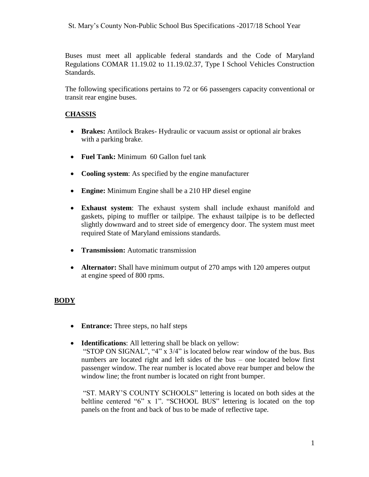Buses must meet all applicable federal standards and the Code of Maryland Regulations COMAR 11.19.02 to 11.19.02.37, Type I School Vehicles Construction Standards.

The following specifications pertains to 72 or 66 passengers capacity conventional or transit rear engine buses.

## **CHASSIS**

- **Brakes:** Antilock Brakes- Hydraulic or vacuum assist or optional air brakes with a parking brake.
- **Fuel Tank:** Minimum 60 Gallon fuel tank
- **Cooling system**: As specified by the engine manufacturer
- **Engine:** Minimum Engine shall be a 210 HP diesel engine
- **Exhaust system**: The exhaust system shall include exhaust manifold and gaskets, piping to muffler or tailpipe. The exhaust tailpipe is to be deflected slightly downward and to street side of emergency door. The system must meet required State of Maryland emissions standards.
- **Transmission:** Automatic transmission
- **Alternator:** Shall have minimum output of 270 amps with 120 amperes output at engine speed of 800 rpms.

## **BODY**

- **Entrance:** Three steps, no half steps
- **Identifications**: All lettering shall be black on yellow:

"STOP ON SIGNAL", "4" x 3/4" is located below rear window of the bus. Bus numbers are located right and left sides of the bus – one located below first passenger window. The rear number is located above rear bumper and below the window line; the front number is located on right front bumper.

"ST. MARY'S COUNTY SCHOOLS" lettering is located on both sides at the beltline centered "6" x 1". "SCHOOL BUS" lettering is located on the top panels on the front and back of bus to be made of reflective tape.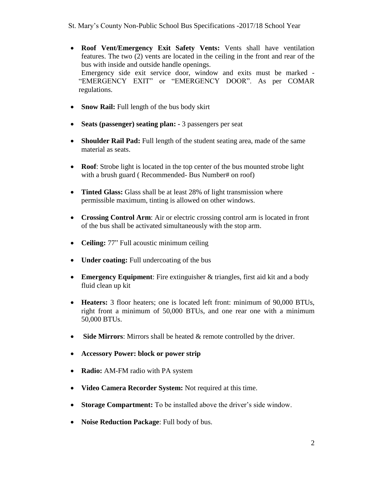- **Roof Vent/Emergency Exit Safety Vents:** Vents shall have ventilation features. The two (2) vents are located in the ceiling in the front and rear of the bus with inside and outside handle openings. Emergency side exit service door, window and exits must be marked - "EMERGENCY EXIT" or "EMERGENCY DOOR". As per COMAR regulations.
- **Snow Rail:** Full length of the bus body skirt
- **Seats (passenger) seating plan: -** 3 passengers per seat
- **Shoulder Rail Pad:** Full length of the student seating area, made of the same material as seats.
- **Roof**: Strobe light is located in the top center of the bus mounted strobe light with a brush guard ( Recommended- Bus Number# on roof)
- **Tinted Glass:** Glass shall be at least 28% of light transmission where permissible maximum, tinting is allowed on other windows.
- **Crossing Control Arm**: Air or electric crossing control arm is located in front of the bus shall be activated simultaneously with the stop arm.
- **Ceiling:** 77" Full acoustic minimum ceiling
- **Under coating:** Full undercoating of the bus
- **Emergency Equipment**: Fire extinguisher & triangles, first aid kit and a body fluid clean up kit
- **Heaters:** 3 floor heaters; one is located left front: minimum of 90,000 BTUs, right front a minimum of 50,000 BTUs, and one rear one with a minimum 50,000 BTUs.
- **Side Mirrors**: Mirrors shall be heated & remote controlled by the driver.
- **Accessory Power: block or power strip**
- Radio: AM-FM radio with PA system
- **Video Camera Recorder System:** Not required at this time.
- **Storage Compartment:** To be installed above the driver's side window.
- **Noise Reduction Package**: Full body of bus.